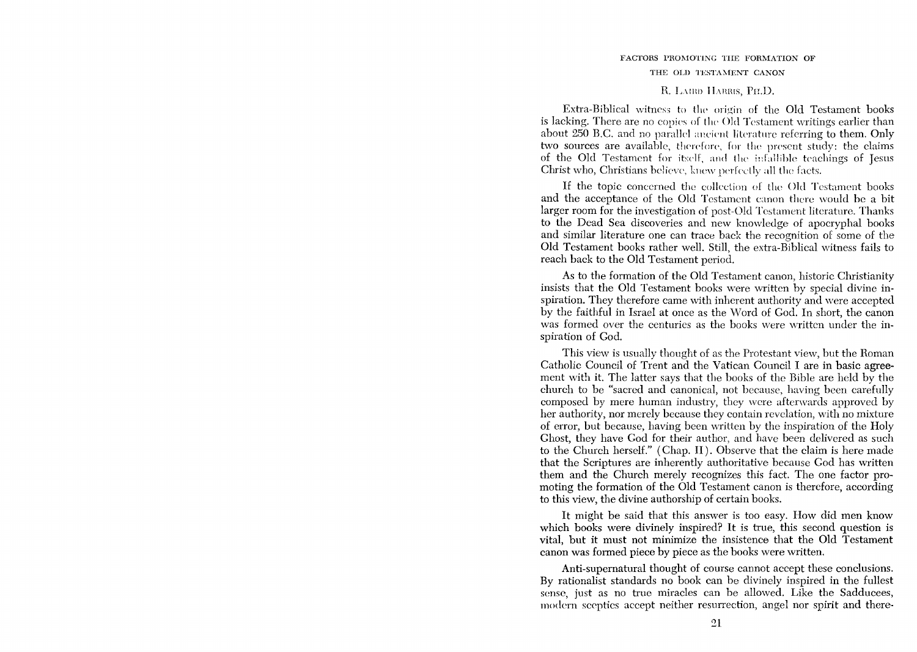## FACTORS PROMOTING THE FORMATION OF THE OLD TESTAMENT CANON

## R. LAIRD HARRIS, PH.D.

Extra-Biblical witness to the origin of the Old Testament books is lacking. There are no copies of the Old Testament writings earlier than about 250 B.C. and no parallel ancient literature referring to them. Only two sources are available, therefore, for the present study: the claims of the Old Testament for itself, and the infallible teachings of Jesus Christ who, Christians believe, knew perfectly all the facts.

If the topic concerned the collection of the Old Testament books and the acceptance of the Old Testament canon there would be a bit larger room for the investigation of post-Old Testament literature. Thanks to the Dead Sea discoveries and new knowledge of apocryphal books and similar literature one can trace back the recognition of some of the Old Testament books rather well. Still, the extra-Biblical witness fails to reach back to the Old Testament period.

As to the formation of the Old Testament canon, historic Christianity insists that the Old Testament books were written by special divine inspiration. They therefore came with inherent authority and were accepted by the faithful in Israel at once as the Word of God. In short, the canon was formed over the centuries as the books were written under the inspiration of God.

This view is usually thought of as the Protestant view, but the Roman Catholic Council of Trent and the Vatican Council I are in basic agreement with it. The latter says that the hooks of the Bible are held by the church to be "sacred and canonical, not because, having heen carefully composed by mere human industry, they wcre afterwards approved by her authority, nor merely because they contain revelation, with no mixture of error, but because, having been written by the inspiration of the Holy Ghost, they have God for their author, and have been delivered as such to the Church herself." (Chap. II). Observe that the claim is here made that the Scriptures are inherently authoritative because God has written them and the Church merely recognizes this fact. The one factor promoting the formation of the Old Testament canon is therefore, according to this view, the divine authorship of certain books.

It might be said that this answer is too easy. How did men know which books were divinely inspired? It is true, this second question is vital, but it must not minimize the insistence that the Old Testament canon was formed piece by piece as the books were written.

Anti-supernatural thought of course cannot accept these conclusions. By rationalist standards no hook can be divinely inspired in the fullest sense, just as no true miracles can be allowed. Like the Sadducees, modern sceptics accept neither resurrection, angel nor spirit and there-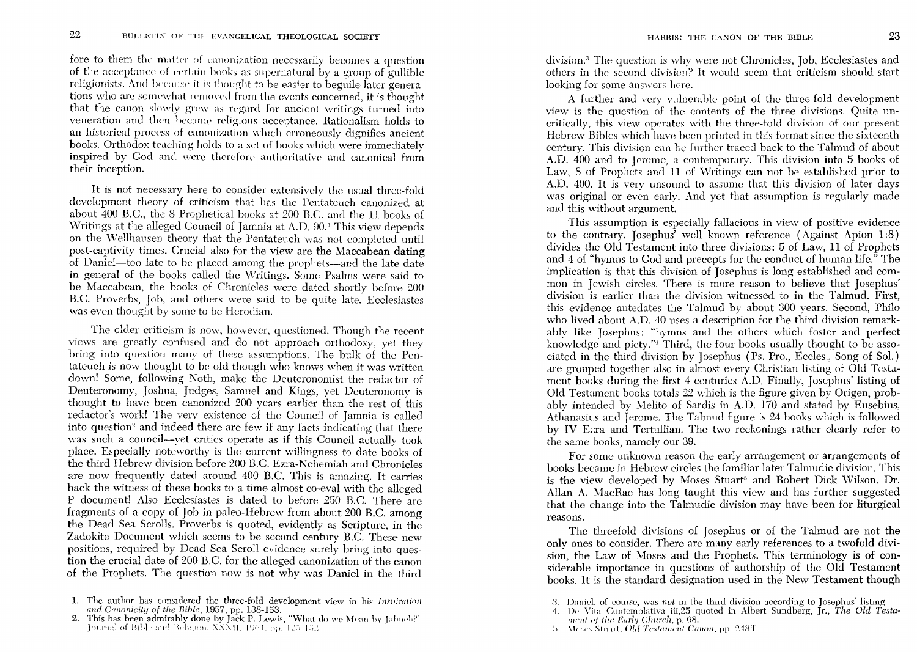fore to them the matter of canonization necessarily becomes a question of the acceptance of certain books as supernatural by a group of gullible religionists. And because it is thought to be easier to beguile later generations who are somewhat removed from the events concerned, it is thought that the canon slowly grew as regard for ancient writings turned into veneration and then became religious acceptance. Rationalism holds to an historical process of canonization which erroneously dignifies ancient books. Orthodox teaching holds to a set of books which were immediately inspired by God and were therefore authoritative and canonical from their inception.

It is not necessary here to consider extensively the usual three-fold development theory of criticism that has the Pentateuch canonized at about 400 B.C., the 8 Prophetical books at 200 B.C. and the 11 books of Writings at the alleged Council of Jamnia at A.D. 90.<sup>1</sup> This view depends on the Wellhausen theory that the Pentateuch was not completed until post-captivity times. Crucial also for the view are the Maccabean dating of Daniel-too late to be placed among the prophets-and the late date in general of the books called the Writings. Some Psalms were said to be Maccabean, the books of Chronicles were dated shortly before 200 B.C. Proverbs, Job, and others were said to be quite late. Ecclesiastes was even thought by some to be Herodian.

The older criticism is now, however, questioned. Though the recent views are greatly confused and do not approach orthodoxy, yet they bring into question many of these assumptions. The bulk of the Pentateuch is now thought to be old though who knows when it was written down! Some, following Noth, make the Deuteronomist the redactor of Deuteronomy, Joshua, Judges, Samuel and Kings, yet Deuteronomy is thought to have been canonized 200 years earlier than the rest of this redactor's work! The very existence of the Council of Jamnia is called into question<sup>2</sup> and indeed there are few if any facts indicating that there was such a council—yet critics operate as if this Council actually took place. Especially noteworthy is the current willingness to date books of the third Hebrew division before 200 B.C. Ezra-Nehemiah and Chronicles are now frequently dated around 400 B.C. This is amazing. It carries back the witness of these books to a time almost co-eval with the alleged P document! Also Ecclesiastes is dated to before 250 B.C. There are fragments of a copy of Job in paleo-Hebrew from about 200 B.C. among the Dead Sea Scrolls. Proverbs is quoted, evidently as Scripture, in the Zadokite Document which seems to be second century B.C. These new positions, required by Dead Sea Scroll evidence surely bring into question the crucial date of 200 B.C. for the alleged canonization of the canon of the Prophets. The question now is not why was Daniel in the third

division.<sup>3</sup> The question is why were not Chronicles, Job, Ecclesiastes and others in the second division? It would seem that criticism should start looking for some answers here.

A further and very vulnerable point of the three-fold development view is the question of the contents of the three divisions. Quite uncritically, this view operates with the three-fold division of our present Hebrew Bibles which have been printed in this format since the sixteenth century. This division can be further traced back to the Talmud of about A.D. 400 and to Jerome, a contemporary. This division into 5 books of Law, 8 of Prophets and 11 of Writings can not be established prior to A.D. 400. It is very unsound to assume that this division of later days was original or even early. And yet that assumption is regularly made and this without argument.

This assumption is especially fallacious in view of positive evidence to the contrary. Josephus' well known reference (Against Apion 1:8) divides the Old Testament into three divisions: 5 of Law, 11 of Prophets and 4 of "hymns to God and precepts for the conduct of human life," The implication is that this division of Josephus is long established and common in Jewish circles. There is more reason to believe that Josephus' division is earlier than the division witnessed to in the Talmud. First, this evidence antedates the Talmud by about 300 years. Second, Philo who lived about A.D. 40 uses a description for the third division remarkably like Josephus: "hymns and the others which foster and perfect knowledge and picty."<sup>4</sup> Third, the four books usually thought to be associated in the third division by Josephus (Ps. Pro., Eccles., Song of Sol.) are grouped together also in almost every Christian listing of Old Testament books during the first 4 centuries A.D. Finally, Josephus' listing of Old Testament books totals 22 which is the figure given by Origen, probably intended by Melito of Sardis in A.D. 170 and stated by Eusebius. Athanasius and Jerome. The Talmud figure is 24 books which is followed by IV Erra and Tertullian. The two reckonings rather clearly refer to the same books, namely our 39.

For some unknown reason the early arrangement or arrangements of books became in Hebrew circles the familiar later Talmudic division. This is the view developed by Moses Stuart<sup>5</sup> and Robert Dick Wilson. Dr. Allan A. MacRae has long taught this view and has further suggested that the change into the Talmudic division may have been for liturgical reasons.

The threefold divisions of Josephus or of the Talmud are not the only ones to consider. There are many early references to a twofold division, the Law of Moses and the Prophets. This terminology is of considerable importance in questions of authorship of the Old Testament books. It is the standard designation used in the New Testament though

<sup>1.</sup> The author has considered the three-fold development view in his Inspiration and Canonicity of the Bible, 1957, pp. 138-153.<br>
2. This has been admirably done by Jack P. Lewis, "What do we Mean by Jabuch?" Journal of Bi

<sup>3.</sup> Daniel, of course, was not in the third division according to Josephus' listing.<br>4. De Vita Contemplativa iii, 25 quoted in Albert Sundberg, Jr., The Old Testa-

ment of the Early Church, p. 68.

<sup>5.</sup> Moses Stuart, *Old Testament Canon*, pp. 248ff.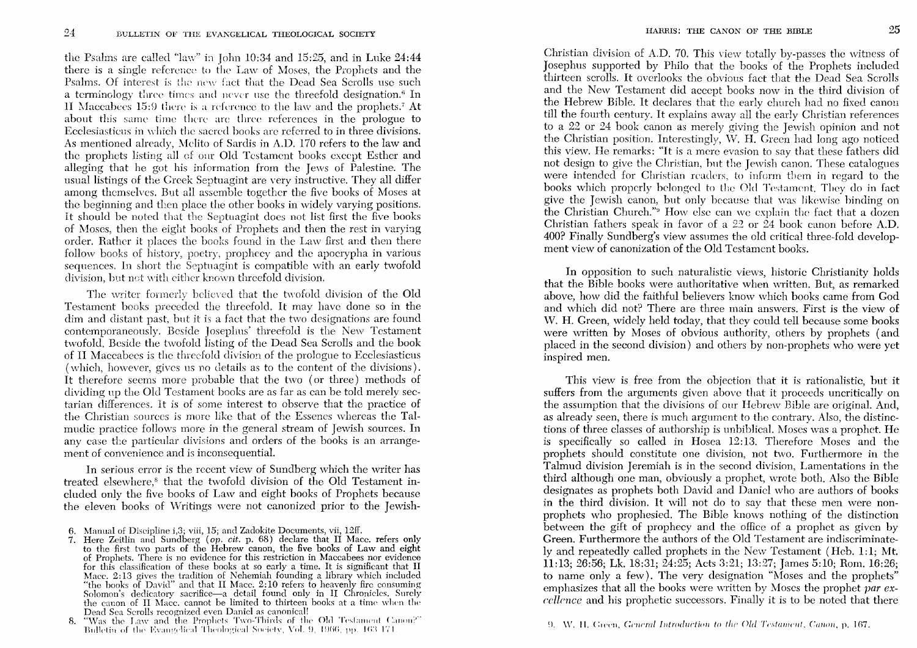the Psalms are called "law" in John 10:34 and 15:25, and in Luke  $24:44$ there is a single reference to the Law of Moses, the Prophets and the Psalms. Of interest is the new fact that the Dead Sea Scrolls use such a terminology three times and never use the threefold designation.<sup>6</sup> In II Maccabees 15:9 there is a reference to the law and the prophets.<sup>7</sup> At about this same time there are three references in the prologue to Ecclesiasticus in which the sacred books arc referred to in three divisions. As mentioned already, Melito of Sardis in A.D. 170 refers to the law and the prophets listing all of our Old Testament books except Esther and alleging that he got his information from the Jews of Palestine. The usual listings of the Grcek Septuagint are very instructive. They all differ among themselves. But all assemble together the five books of Moses at the beginning and then place the other books in widely varying positions. It should be noted that the Septuagint docs not list first the five books of Moses, then the eight books of Prophets and then the rest in varying order. Rather it places the books found in the Law first and then there follow books of history, poetry, prophccy and thc apocrypha in various sequences. In short the Septuagint is compatiblc with an early twofold division, but net with either known threefold division.

The writer formerly believed that the twofold division of the Old Testamcnt books preceded the threefold. It may havc done so in the dim and distant past, but it is a fact that the two designations are found contcmporaneously. Beside Josephus' threefold is the New Tcstament twofold. Beside the twofold listing of the Dead Sea Scrolls and the book of II Maccabecs is thc threefold division of the prologue to Ecclesiasticus (which, however, gives us no details as to the content of the divisions). It therefore seems more probable that the two (or three) methods of dividing up the Old Testament books are as far as can be told merely sectarian differences. It is of some interest to observe that the practice of the Christian sources is more likc that of the Essenes whereas the Talmudic practice follows more in the general stream of Jewish sources. In any case the particular divisions and orders of the books is an arrangement of convenience and is inconsequential.

In serious error is the recent view of Sundberg which the writer has treated elsewhere,<sup>8</sup> that the twofold division of the Old Testament included only the five books of Law and eight books of Prophets because the eleven books of Writings were not canonized prior to the Jewish-

Christian division of A.D. 70. This view totally by-passes the witness of Josephus supported by Philo that the books of the Prophets included thirteen scrolls. It ovcrlooks the obvious fact that the Dead Sea Scrolls and the Ncw Testament did acccpt books now in the third division of the Hebrew Bible. It declares that the early church had no fixed canon till the fourth century. It cxplains away all the early Christian references to a 22 or 24 book canon as merely giving the Jewish opinion and not the Christian position. Interestingly, 'V. H. Grecn had long ago noticed this view. He remarks: "It is a mere evasion to say that these fathers did not design to give the Christian, but the Jewish canon. These catalogues were intended for Christian readers, to inform them in regard to the books which properly belonged to the Old Testament. They do in fact give the Jewish canon, but only because that was likewisc hinding on the Christian Church."<sup>9</sup> How else can we explain the fact that a dozen Christian fathers speak in favor of a 22 or 24 book canon before A.D. 400? Finally Sundberg's view assumes the old critical three-fold development view of canonization of the Old Testament books.

In opposition to such naturalistic views, historic Christianity holds that the Bible books were authoritative when written. But, as remarked above, how did the faithful believers know which books came from God and which did not? There are three main answers. First is the view of W. H. Green, widely held today, that they could tell because some books were written by Moses of obvious authority, others by prophets (and placed in the second division) and others by non-prophets who were yet inspired men.

This view is free from the objection that it is rationalistic, but it suffers from the arguments given above that it proceeds uncritically on the assumption that the divisions of om Hebrew Bible are original. And, as already seen, there is much argumcnt to the contrary. Also, the distinctions of three classes of authorship is unbiblical. Moses was a prophct. He is specifically so called in Hosea 12:13. Therefore Moses and the prophets should constitute one division, not two. Furthermore in the Talmud division Jeremiah is in the second division, Lamentations in the third although one man, obviously a prophet, wrote both. Also the Bible designates as prophets both David and Danicl who are authors of books in the third division. It will not do to say that these men were nonprophets who prophesied. The Bible knows nothing of the distinction between the gift of prophecy and the office of a prophet as given by Green. Furthermore the authors of the Old Testament are indiscriminatoly and repeatedly called prophets in the New Testament (Hcb. 1:1; Mt. 11:13; 26:56; Lk. 18:31; 24:25; Acts 3:21; 13:27; James 5:10; Rom. 16:26; to name only a few). The very designation "Moses and the prophets" emphasizes that all the books were written by Moses the prophet par ex*cellence* and his prophetic successors. Finally it is to be noted that there

<sup>6.</sup> Manual of Discipline i,3; viii, 15; and Zadokite Documents, vii, 12ff.

<sup>7.</sup> Here Zeitlin and Sundberg *(op. cit.* p. 68) declare that II Macc. refers only to the first two parts of the Hebrew canon, the five books of Law and eight of Prophets. There is no evidence for this restriction in Maccabees nor evidence for this classification of these books at so early a time. It is significant that II Macc. 2:13 gives the tradition of Nehemiah founding a library which included "the hooks of David" and that II Macc. 2: 10 refers to heavenly fire consuming Solomon's dedicatory sacrifice—a detail found only in II Chronicles. Surely the canon of II Macc. cannot be limited to thirteen books at a time when the Dead Sca Scrolls recognized even Danicl as canonical!

<sup>8. &</sup>quot;Was the Law and the Prophets Two-Thirds of the Old Testament Canon?" Bulletin of the Evangelical Theological Society, Vol. 9, 1966, pp. 163-171